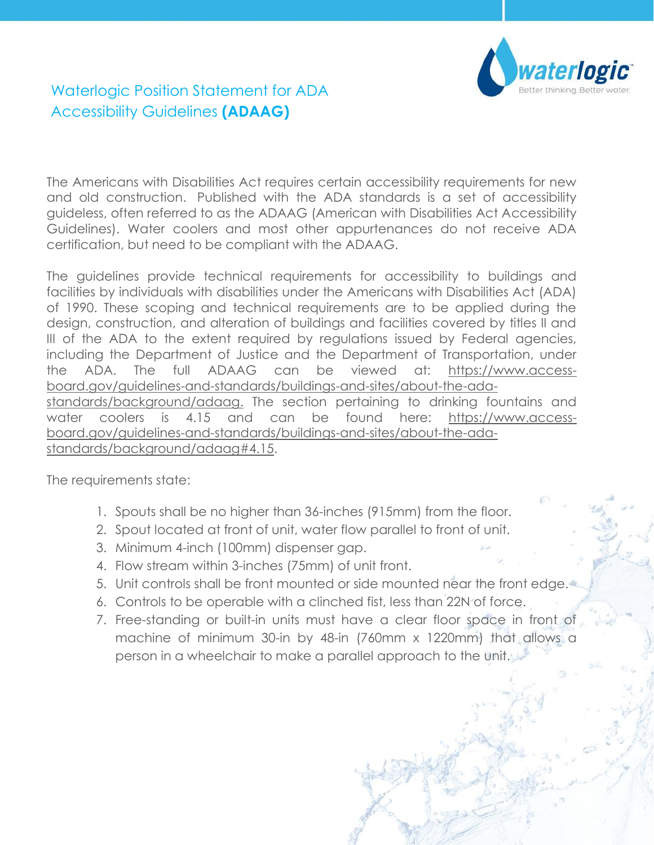

Page **1** of **2**

## Waterlogic Position Statement for ADA Accessibility Guidelines **(ADAAG)**

The Americans with Disabilities Act requires certain accessibility requirements for new and old construction. Published with the ADA standards is a set of accessibility guideless, often referred to as the ADAAG (American with Disabilities Act Accessibility Guidelines). Water coolers and most other appurtenances do not receive ADA certification, but need to be compliant with the ADAAG.

The guidelines provide technical requirements for accessibility to buildings and facilities by individuals with disabilities under the Americans with Disabilities Act (ADA) of 1990. These scoping and technical requirements are to be applied during the design, construction, and alteration of buildings and facilities covered by titles II and III of the ADA to the extent required by regulations issued by Federal agencies, including the Department of Justice and the Department of Transportation, under the ADA. The full ADAAG can be viewed at: [https://www.access](https://www.access-board.gov/guidelines-and-standards/buildings-and-sites/about-the-ada-standards/background/adaag)[board.gov/guidelines-and-standards/buildings-and-sites/about-the-ada](https://www.access-board.gov/guidelines-and-standards/buildings-and-sites/about-the-ada-standards/background/adaag)[standards/background/adaag.](https://www.access-board.gov/guidelines-and-standards/buildings-and-sites/about-the-ada-standards/background/adaag) The section pertaining to drinking fountains and water coolers is 4.15 and can be found here: [https://www.access](https://www.access-board.gov/guidelines-and-standards/buildings-and-sites/about-the-ada-standards/background/adaag#4.15)[board.gov/guidelines-and-standards/buildings-and-sites/about-the-ada](https://www.access-board.gov/guidelines-and-standards/buildings-and-sites/about-the-ada-standards/background/adaag#4.15)[standards/background/adaag#4.15.](https://www.access-board.gov/guidelines-and-standards/buildings-and-sites/about-the-ada-standards/background/adaag#4.15)

The requirements state:

- 1. Spouts shall be no higher than 36-inches (915mm) from the floor.
- 2. Spout located at front of unit, water flow parallel to front of unit.
- 3. Minimum 4-inch (100mm) dispenser gap.
- 4. Flow stream within 3-inches (75mm) of unit front.
- 5. Unit controls shall be front mounted or side mounted near the front edge.
- 6. Controls to be operable with a clinched fist, less than 22N of force.
- 7. Free-standing or built-in units must have a clear floor space in front of machine of minimum 30-in by 48-in (760mm x 1220mm) that allows a person in a wheelchair to make a parallel approach to the unit.